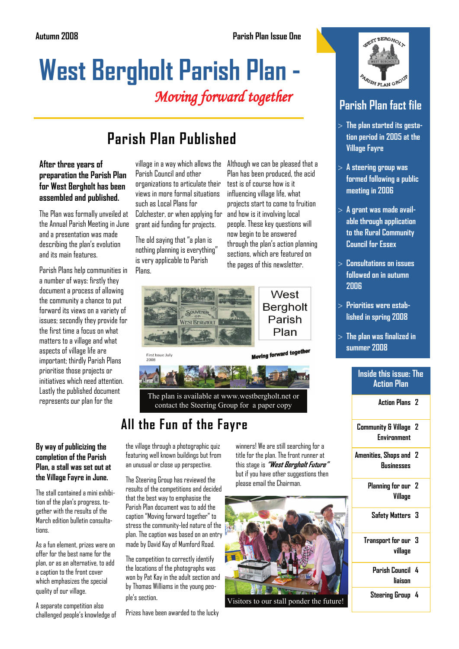# **West Bergholt Parish Plan -**  Moving forward together

# **Parish Plan Published**

**After three years of preparation the Parish Plan for West Bergholt has been assembled and published.** 

The Plan was formally unveiled at the Annual Parish Meeting in June and a presentation was made describing the plan's evolution and its main features.

Parish Plans help communities in a number of ways: firstly they document a process of allowing the community a chance to put forward its views on a variety of issues; secondly they provide for the first time a focus on what matters to a village and what aspects of village life are important; thirdly Parish Plans prioritise those projects or initiatives which need attention. Lastly the published document represents our plan for the

#### **By way of publicizing the completion of the Parish Plan, a stall was set out at the Village Fayre in June.**

The stall contained a mini exhibition of the plan's progress, together with the results of the March edition bulletin consultatinns

As a fun element, prizes were on offer for the best name for the plan, or as an alternative, to add a caption to the front cover which emphasizes the special quality of our village.

A separate competition also challenged people's knowledge of Parish Council and other organizations to articulate their views in more formal situations such as Local Plans for Colchester, or when applying for grant aid funding for projects.

The old saying that "a plan is nothing planning is everything" is very applicable to Parish Plans.

village in a way which allows the Although we can be pleased that a Plan has been produced, the acid test is of course how is it influencing village life, what projects start to come to fruition and how is it involving local people. These key questions will now begin to be answered through the plan's action planning sections, which are featured on the pages of this newsletter.



First Issue July<br>2008



The plan is available at www.westbergholt.net or contact the Steering Group for a paper copy

# **All the Fun of the Fayre**

the village through a photographic quiz featuring well known buildings but from an unusual or close up perspective.

The Steering Group has reviewed the results of the competitions and decided that the best way to emphasise the Parish Plan document was to add the caption "Moving forward together" to stress the community-led nature of the plan. The caption was based on an entry made by David Kay of Mumford Road.

The competition to correctly identify the locations of the photographs was won by Pat Kay in the adult section and by Thomas Williams in the young people's section.

Prizes have been awarded to the lucky

winners! We are still searching for a title for the plan. The front runner at this stage is **"West Bergholt Future"** but if you have other suggestions then please email the Chairman.



Visitors to our stall ponder the future!



### **Parish Plan fact file**

- > **The plan started its gestation period in 2005 at the Village Fayre**
- > **A steering group was formed following a public meeting in 2006**
- > **A grant was made available through application to the Rural Community Council for Essex**
- > **Consultations on issues followed on in autumn 2006**
- > **Priorities were established in spring 2008**
- > **The plan was finalized in summer 2008**

#### **Inside this issue: The Action Plan**

**Action Plans 2** 

**Community & Village 2 Environment** 

**Amenities, Shops and 2 Businesses** 

- **Planning for our 2 Village**
- **Safety Matters 3**
- **Transport for our 3 village** 
	- **Parish Council 4 liaison**
	- **Steering Group 4**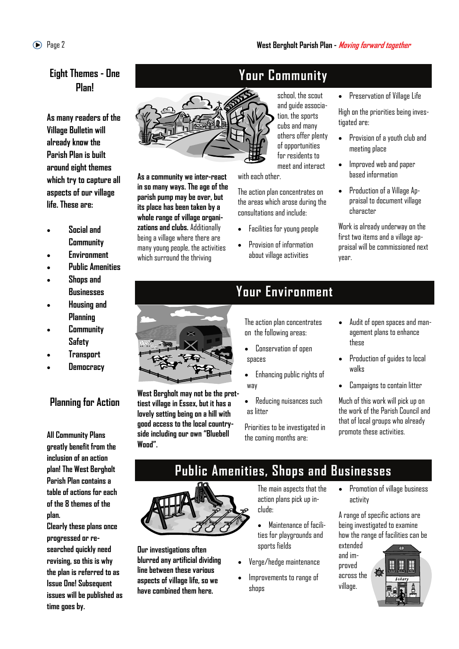#### **Eight Themes - One Plan!**

**As many readers of the Village Bulletin will already know the Parish Plan is built around eight themes which try to capture all aspects of our village life. These are:** 

- **Social and Community**
- **Environment**
- **Public Amenities**
- **Shops and Businesses**
- **Housing and Planning**
- **Community Safety**
- **Transport**
- **Democracy**

#### **Planning for Action**

**All Community Plans greatly benefit from the inclusion of an action plan! The West Bergholt Parish Plan contains a table of actions for each of the 8 themes of the plan.** 

**Clearly these plans once progressed or researched quickly need revising, so this is why the plan is referred to as Issue One! Subsequent issues will be published as time goes by.** 



**As a community we inter-react in so many ways. The age of the parish pump may be over, but its place has been taken by a whole range of village organizations and clubs.** Additionally being a village where there are many young people, the activities which surround the thriving

# **Your Community**

school, the scout and guide association, the sports cubs and many others offer plenty of opportunities for residents to meet and interact

with each other.

The action plan concentrates on the areas which arose during the consultations and include:

- Facilities for young people
- Provision of information about village activities

• Preservation of Village Life

High on the priorities being investigated are:

- Provision of a youth club and meeting place
- Improved web and paper based information
- Production of a Village Appraisal to document village character

Work is already underway on the first two items and a village appraisal will be commissioned next year.



**West Bergholt may not be the prettiest village in Essex, but it has a lovely setting being on a hill with good access to the local countryside including our own "Bluebell Wood".** 

# **Your Environment**

The action plan concentrates on the following areas:

- Conservation of open spaces
- Enhancing public rights of way
- Reducing nuisances such as litter

Priorities to be investigated in the coming months are:

- Audit of open spaces and management plans to enhance these
- Production of guides to local walks
- Campaigns to contain litter

Much of this work will pick up on the work of the Parish Council and that of local groups who already promote these activities.

# **Public Amenities, Shops and Businesses**

**Our investigations often blurred any artificial dividing line between these various aspects of village life, so we have combined them here.** 

The main aspects that the action plans pick up include:

- Maintenance of facilities for playgrounds and sports fields
- Verge/hedge maintenance
- Improvements to range of shops

• Promotion of village business activity

A range of specific actions are being investigated to examine how the range of facilities can be extended

and improved across the village.

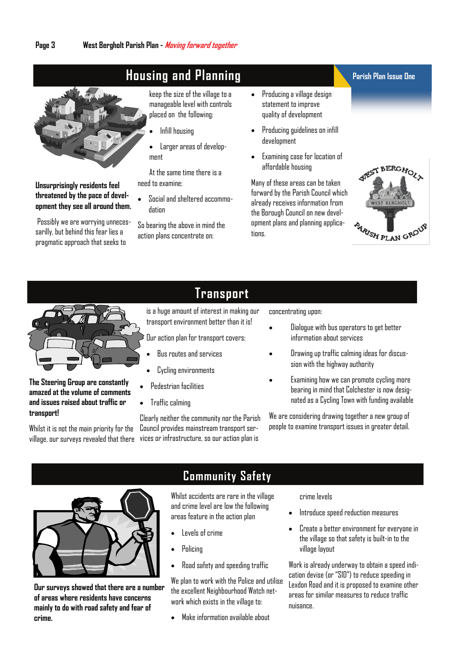# **Housing and Planning**



**Unsurprisingly residents feel threatened by the pace of development they see all around them.** 

Possibly we are worrying unnecessarilly, but behind this fear lies a pragmatic approach that seeks to

keep the size of the village to a manageable level with controls placed on the following:

- Infill housing
- Larger areas of development

At the same time there is a need to examine:

• Social and sheltered accommodation

So bearing the above in mind the action plans concentrate on:

- Producing a village design statement to improve quality of development
- Producing guidelines on infill development
- Examining case for location of affordable housing

Many of these areas can be taken forward by the Parish Council which already receives information from the Borough Council on new development plans and planning applicatinns

#### **Parish Plan Issue One**





#### **The Steering Group are constantly amazed at the volume of comments and issues raised about traffic or transport!**

Whilst it is not the main priority for the

### **Transport**

is a huge amount of interest in making our transport environment better than it is!

Our action plan for transport covers:

- Bus routes and services
- Cycling environments
- Pedestrian facilities
- Traffic calming

Clearly neither the community nor the Parish Council provides mainstream transport servillage, our surveys revealed that there vices or infrastructure, so our action plan is

concentrating upon:

- Dialogue with bus operators to get better information about services
- Drawing up traffic calming ideas for discussion with the highway authority
- Examining how we can promote cycling more bearing in mind that Colchester is now designated as a Cycling Town with funding available

We are considering drawing together a new group of people to examine transport issues in greater detail.



**Our surveys showed that there are a number of areas where residents have concerns mainly to do with road safety and fear of crime.** 

#### **Community Safety**

Whilst accidents are rare in the village and crime level are low the following areas feature in the action plan

- Levels of crime
- Policing
- Road safety and speeding traffic

We plan to work with the Police and utilise the excellent Neighbourhood Watch network which exists in the village to:

• Make information available about

#### crime levels

- Introduce speed reduction measures
- Create a better environment for everyone in the village so that safety is built-in to the village layout

Work is already underway to obtain a speed indication devise (or "SID") to reduce speeding in Lexdon Road and it is proposed to examine other areas for similar measures to reduce traffic nuisance.